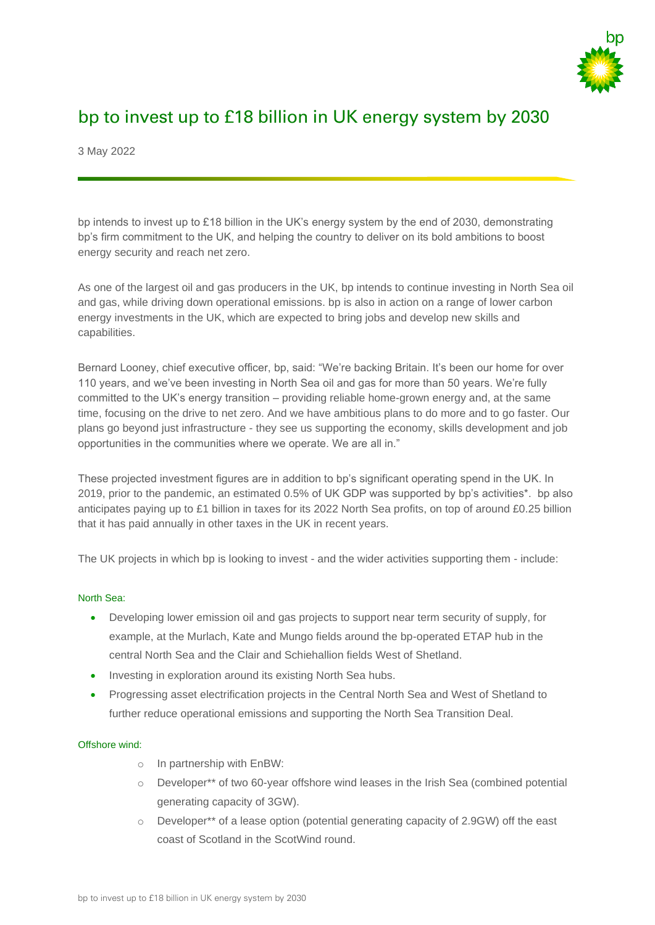

# bp to invest up to £18 billion in UK energy system by 2030

3 May 2022

bp intends to invest up to £18 billion in the UK's energy system by the end of 2030, demonstrating bp's firm commitment to the UK, and helping the country to deliver on its bold ambitions to boost energy security and reach net zero.

As one of the largest oil and gas producers in the UK, bp intends to continue investing in North Sea oil and gas, while driving down operational emissions. bp is also in action on a range of lower carbon energy investments in the UK, which are expected to bring jobs and develop new skills and capabilities.

Bernard Looney, chief executive officer, bp, said: "We're backing Britain. It's been our home for over 110 years, and we've been investing in North Sea oil and gas for more than 50 years. We're fully committed to the UK's energy transition – providing reliable home-grown energy and, at the same time, focusing on the drive to net zero. And we have ambitious plans to do more and to go faster. Our plans go beyond just infrastructure - they see us supporting the economy, skills development and job opportunities in the communities where we operate. We are all in."

These projected investment figures are in addition to bp's significant operating spend in the UK. In 2019, prior to the pandemic, an estimated 0.5% of UK GDP was supported by bp's activities\*. bp also anticipates paying up to £1 billion in taxes for its 2022 North Sea profits, on top of around £0.25 billion that it has paid annually in other taxes in the UK in recent years.

The UK projects in which bp is looking to invest - and the wider activities supporting them - include:

# North Sea:

- Developing lower emission oil and gas projects to support near term security of supply, for example, at the Murlach, Kate and Mungo fields around the bp-operated ETAP hub in the central North Sea and the Clair and Schiehallion fields West of Shetland.
- Investing in exploration around its existing North Sea hubs.
- Progressing asset electrification projects in the Central North Sea and West of Shetland to further reduce operational emissions and supporting the North Sea Transition Deal.

# Offshore wind:

- o In partnership with EnBW:
- o Developer\*\* of two 60-year offshore wind leases in the Irish Sea (combined potential generating capacity of 3GW).
- o Developer\*\* of a lease option (potential generating capacity of 2.9GW) off the east coast of Scotland in the ScotWind round.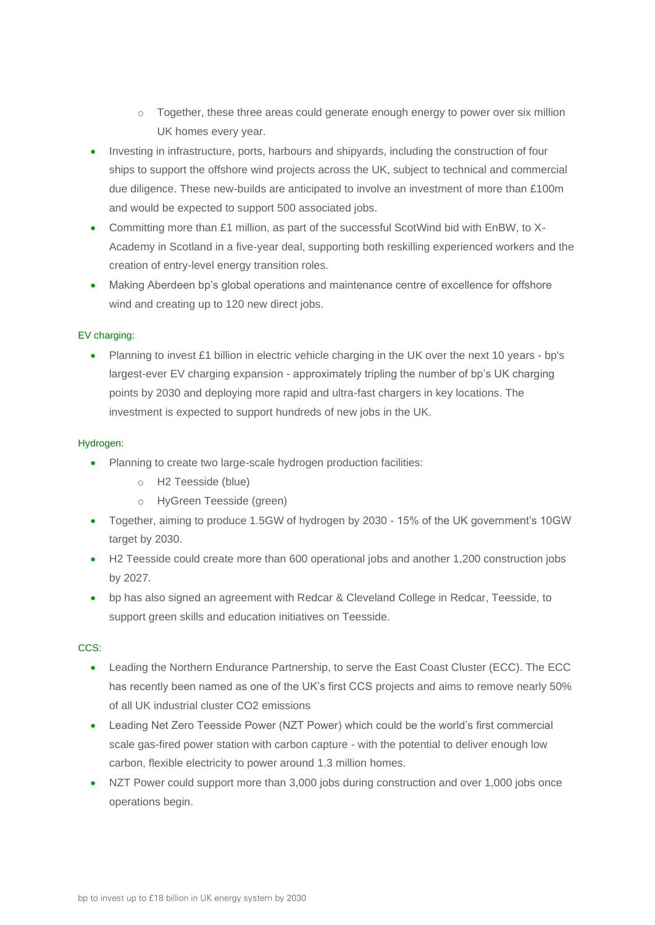- o Together, these three areas could generate enough energy to power over six million UK homes every year.
- Investing in infrastructure, ports, harbours and shipyards, including the construction of four ships to support the offshore wind projects across the UK, subject to technical and commercial due diligence. These new-builds are anticipated to involve an investment of more than £100m and would be expected to support 500 associated jobs.
- Committing more than £1 million, as part of the successful ScotWind bid with EnBW, to X-Academy in Scotland in a five-year deal, supporting both reskilling experienced workers and the creation of entry-level energy transition roles.
- Making Aberdeen bp's global operations and maintenance centre of excellence for offshore wind and creating up to 120 new direct jobs.

# EV charging:

• Planning to invest £1 billion in electric vehicle charging in the UK over the next 10 years - bp's largest-ever EV charging expansion - approximately tripling the number of bp's UK charging points by 2030 and deploying more rapid and ultra-fast chargers in key locations. The investment is expected to support hundreds of new jobs in the UK.

# Hydrogen:

- Planning to create two large-scale hydrogen production facilities:
	- o H2 Teesside (blue)
	- o HyGreen Teesside (green)
- Together, aiming to produce 1.5GW of hydrogen by 2030 15% of the UK government's 10GW target by 2030.
- H2 Teesside could create more than 600 operational jobs and another 1,200 construction jobs by 2027.
- bp has also signed an agreement with Redcar & Cleveland College in Redcar, Teesside, to support green skills and education initiatives on Teesside.

# CCS:

- Leading the Northern Endurance Partnership, to serve the East Coast Cluster (ECC). The ECC has recently been named as one of the UK's first CCS projects and aims to remove nearly 50% of all UK industrial cluster CO2 emissions
- Leading Net Zero Teesside Power (NZT Power) which could be the world's first commercial scale gas-fired power station with carbon capture - with the potential to deliver enough low carbon, flexible electricity to power around 1.3 million homes.
- NZT Power could support more than 3,000 jobs during construction and over 1,000 jobs once operations begin.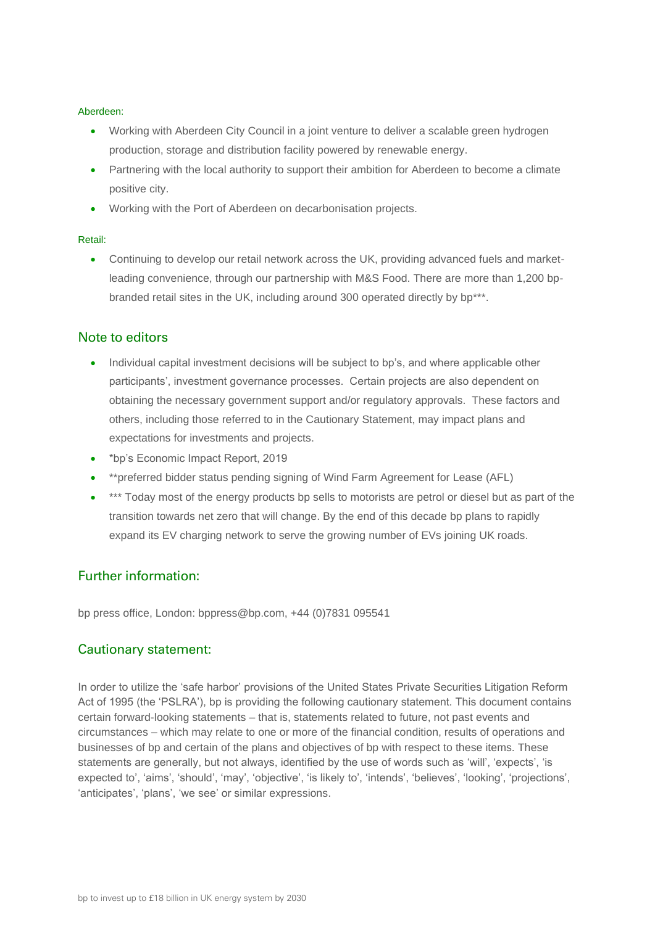#### Aberdeen:

- Working with Aberdeen City Council in a joint venture to deliver a scalable green hydrogen production, storage and distribution facility powered by renewable energy.
- Partnering with the local authority to support their ambition for Aberdeen to become a climate positive city.
- Working with the Port of Aberdeen on decarbonisation projects.

#### Retail:

• Continuing to develop our retail network across the UK, providing advanced fuels and marketleading convenience, through our partnership with M&S Food. There are more than 1,200 bpbranded retail sites in the UK, including around 300 operated directly by bp\*\*\*.

# Note to editors

- Individual capital investment decisions will be subject to bp's, and where applicable other participants', investment governance processes. Certain projects are also dependent on obtaining the necessary government support and/or regulatory approvals. These factors and others, including those referred to in the Cautionary Statement, may impact plans and expectations for investments and projects.
- \*bp's Economic Impact Report, 2019
- \*\*preferred bidder status pending signing of Wind Farm Agreement for Lease (AFL)
- \*\*\* Today most of the energy products bp sells to motorists are petrol or diesel but as part of the transition towards net zero that will change. By the end of this decade bp plans to rapidly expand its EV charging network to serve the growing number of EVs joining UK roads.

# Further information:

bp press office, London: bppress@bp.com, +44 (0)7831 095541

# Cautionary statement:

In order to utilize the 'safe harbor' provisions of the United States Private Securities Litigation Reform Act of 1995 (the 'PSLRA'), bp is providing the following cautionary statement. This document contains certain forward-looking statements – that is, statements related to future, not past events and circumstances – which may relate to one or more of the financial condition, results of operations and businesses of bp and certain of the plans and objectives of bp with respect to these items. These statements are generally, but not always, identified by the use of words such as 'will', 'expects', 'is expected to', 'aims', 'should', 'may', 'objective', 'is likely to', 'intends', 'believes', 'looking', 'projections', 'anticipates', 'plans', 'we see' or similar expressions.